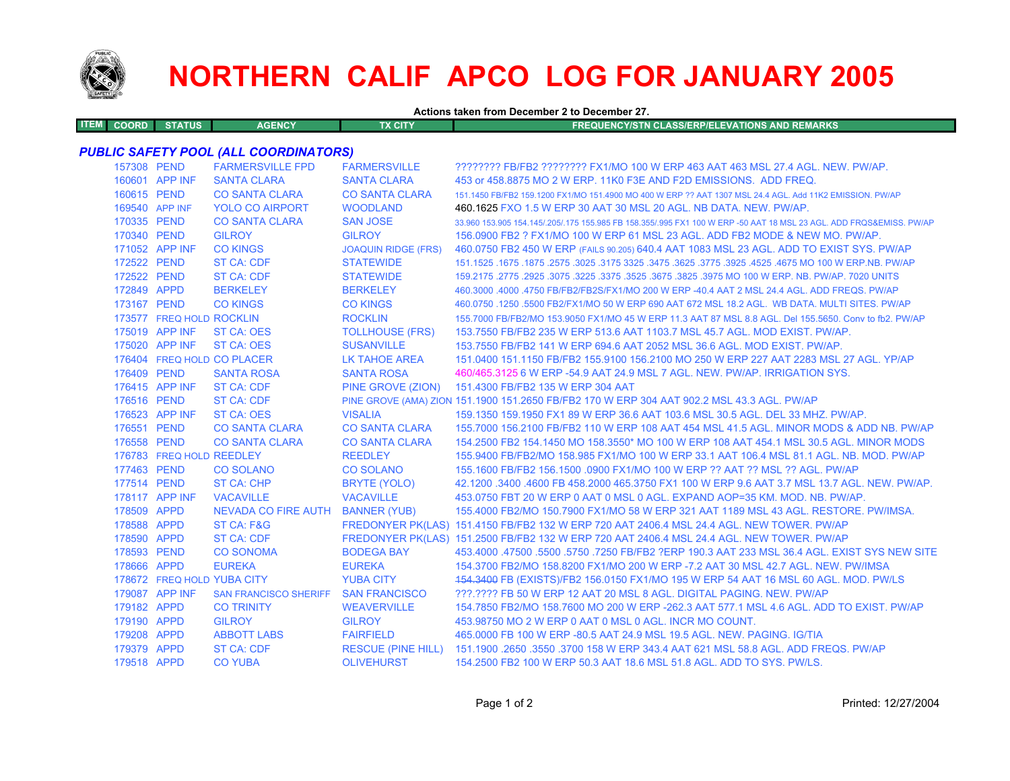

## **NORTHERN CALIF APCO LOG FOR JANUARY 2005**

**Actions taken from December 2 to December 27.**

| <b>ITEM COORD</b> | <b>STATUS</b> | <b>AGENCY</b> | <b>FX CITY</b> | <b>FREQUENCY/STN CLASS/ERP/ELEVATIONS AND REMARKS</b> |
|-------------------|---------------|---------------|----------------|-------------------------------------------------------|
|                   |               |               |                |                                                       |

## *PUBLIC SAFETY POOL (ALL COORDINATORS)*

| 157308 PEND |                            | <b>FARMERSVILLE FPD</b>             | <b>FARMERSVILLE</b>        | ???????? FB/FB2 ???????? FX1/MO 100 W ERP 463 AAT 463 MSL 27.4 AGL. NEW. PW/AP.                                     |
|-------------|----------------------------|-------------------------------------|----------------------------|---------------------------------------------------------------------------------------------------------------------|
|             | 160601 APP INF             | <b>SANTA CLARA</b>                  | <b>SANTA CLARA</b>         | 453 or 458,8875 MO 2 W ERP, 11K0 F3E AND F2D EMISSIONS. ADD FREQ.                                                   |
| 160615 PEND |                            | <b>CO SANTA CLARA</b>               | <b>CO SANTA CLARA</b>      | 151.1450 FB/FB2 159.1200 FX1/MO 151.4900 MO 400 W ERP ?? AAT 1307 MSL 24.4 AGL, Add 11K2 EMISSION, PW/AP            |
|             | 169540 APP INF             | <b>YOLO CO AIRPORT</b>              | <b>WOODLAND</b>            | 460.1625 FXO 1.5 W ERP 30 AAT 30 MSL 20 AGL. NB DATA. NEW. PW/AP.                                                   |
| 170335 PEND |                            | <b>CO SANTA CLARA</b>               | <b>SAN JOSE</b>            | 33,960 153,905 154,145/.205/.175 155,985 FB 158,355/.995 FX1 100 W ERP -50 AAT 18 MSL 23 AGL, ADD FRQS&EMISS, PW/AP |
| 170340 PEND |                            | <b>GILROY</b>                       | <b>GILROY</b>              | 156,0900 FB2 ? FX1/MO 100 W ERP 61 MSL 23 AGL. ADD FB2 MODE & NEW MO, PW/AP.                                        |
|             | 171052 APP INF             | <b>CO KINGS</b>                     | <b>JOAQUIN RIDGE (FRS)</b> | 460.0750 FB2 450 W ERP (FAILS 90.205) 640.4 AAT 1083 MSL 23 AGL. ADD TO EXIST SYS. PW/AP                            |
| 172522 PEND |                            | <b>ST CA: CDF</b>                   | <b>STATEWIDE</b>           | 151.1525 .1675 .1675 .3625 .3625 .3775 .3925 .3925 .3775 .3925 .3775 .3625 .3625 .1675 .1675 .1679 .1679 .167       |
| 172522 PEND |                            | <b>ST CA: CDF</b>                   | <b>STATEWIDE</b>           | 159,2175,2775,2925,3075,3225,3375,3525,3675,3825,3975 MO 100 W ERP, NB, PW/AP, 7020 UNITS                           |
| 172849 APPD |                            | <b>BERKELEY</b>                     | <b>BERKELEY</b>            | 460.3000 .4000 .4750 FB/FB2/FB2S/FX1/MO 200 W ERP -40.4 AAT 2 MSL 24.4 AGL. ADD FREQS. PW/AP                        |
| 173167 PEND |                            | <b>CO KINGS</b>                     | <b>CO KINGS</b>            | 460.0750 .1250 .5500 FB2/FX1/MO 50 W ERP 690 AAT 672 MSL 18.2 AGL. WB DATA, MULTI SITES, PW/AP                      |
|             | 173577 FREQ HOLD ROCKLIN   |                                     | <b>ROCKLIN</b>             | 155.7000 FB/FB2/MO 153.9050 FX1/MO 45 W ERP 11.3 AAT 87 MSL 8.8 AGL. Del 155.5650. Conv to fb2. PW/AP               |
|             | 175019 APP INF             | <b>ST CA: OES</b>                   | <b>TOLLHOUSE (FRS)</b>     | 153.7550 FB/FB2 235 W ERP 513.6 AAT 1103.7 MSL 45.7 AGL, MOD EXIST, PW/AP.                                          |
|             | 175020 APP INF             | <b>ST CA: OES</b>                   | <b>SUSANVILLE</b>          | 153.7550 FB/FB2 141 W ERP 694.6 AAT 2052 MSL 36.6 AGL, MOD EXIST, PW/AP.                                            |
|             |                            | 176404 FREQ HOLD CO PLACER          | LK TAHOE AREA              | 151.0400 151.1150 FB/FB2 155.9100 156.2100 MO 250 W ERP 227 AAT 2283 MSL 27 AGL, YP/AP                              |
| 176409 PEND |                            | <b>SANTA ROSA</b>                   | <b>SANTA ROSA</b>          | 460/465.3125 6 W ERP -54.9 AAT 24.9 MSL 7 AGL. NEW. PW/AP. IRRIGATION SYS.                                          |
|             | 176415 APP INF             | ST CA: CDF                          | PINE GROVE (ZION)          | 151.4300 FB/FB2 135 W ERP 304 AAT                                                                                   |
| 176516 PEND |                            | <b>ST CA: CDF</b>                   |                            | PINE GROVE (AMA) ZION 151.1900 151.2650 FB/FB2 170 W ERP 304 AAT 902.2 MSL 43.3 AGL. PW/AP                          |
|             | 176523 APP INF             | <b>ST CA: OES</b>                   | <b>VISALIA</b>             | 159.1350 159.1950 FX1 89 W ERP 36.6 AAT 103.6 MSL 30.5 AGL. DEL 33 MHZ, PW/AP,                                      |
| 176551 PEND |                            | <b>CO SANTA CLARA</b>               | <b>CO SANTA CLARA</b>      | 155,7000 156,2100 FB/FB2 110 W ERP 108 AAT 454 MSL 41.5 AGL, MINOR MODS & ADD NB, PW/AP                             |
| 176558 PEND |                            | <b>CO SANTA CLARA</b>               | <b>CO SANTA CLARA</b>      | 154,2500 FB2 154,1450 MO 158,3550* MO 100 W ERP 108 AAT 454,1 MSL 30.5 AGL, MINOR MODS                              |
|             | 176783 FREQ HOLD REEDLEY   |                                     | <b>REEDLEY</b>             | 155,9400 FB/FB2/MO 158,985 FX1/MO 100 W ERP 33.1 AAT 106.4 MSL 81.1 AGL, NB, MOD, PW/AP                             |
| 177463 PEND |                            | <b>CO SOLANO</b>                    | <b>CO SOLANO</b>           | 155.1600 FB/FB2 156.1500 .0900 FX1/MO 100 W ERP ?? AAT ?? MSL ?? AGL. PW/AP                                         |
| 177514 PEND |                            | <b>ST CA: CHP</b>                   | BRYTE (YOLO)               | 42.1200 .3400 .4600 FB 458.2000 465.3750 FX1 100 W ERP 9.6 AAT 3.7 MSL 13.7 AGL. NEW. PW/AP.                        |
|             | 178117 APP INF             | <b>VACAVILLE</b>                    | <b>VACAVILLE</b>           | 453.0750 FBT 20 W ERP 0 AAT 0 MSL 0 AGL, EXPAND AOP=35 KM, MOD, NB, PW/AP,                                          |
| 178509 APPD |                            | NEVADA CO FIRE AUTH BANNER (YUB)    |                            | 155,4000 FB2/MO 150,7900 FX1/MO 58 W ERP 321 AAT 1189 MSL 43 AGL. RESTORE, PW/IMSA,                                 |
| 178588 APPD |                            | ST CA: F&G                          |                            | FREDONYER PK(LAS) 151.4150 FB/FB2 132 W ERP 720 AAT 2406.4 MSL 24.4 AGL, NEW TOWER, PW/AP                           |
| 178590 APPD |                            | <b>ST CA: CDF</b>                   |                            | FREDONYER PK(LAS) 151.2500 FB/FB2 132 W ERP 720 AAT 2406.4 MSL 24.4 AGL. NEW TOWER. PW/AP                           |
| 178593 PEND |                            | <b>CO SONOMA</b>                    | <b>BODEGA BAY</b>          | 453.4000 .47500 .5500 .5750 .7250 FB/FB2 ?ERP 190.3 AAT 233 MSL 36.4 AGL. EXIST SYS NEW SITE                        |
| 178666 APPD |                            | <b>EUREKA</b>                       | <b>EUREKA</b>              | 154.3700 FB2/MO 158.8200 FX1/MO 200 W ERP -7.2 AAT 30 MSL 42.7 AGL, NEW, PW/IMSA                                    |
|             | 178672 FREQ HOLD YUBA CITY |                                     | <b>YUBA CITY</b>           | 154.3400 FB (EXISTS)/FB2 156.0150 FX1/MO 195 W ERP 54 AAT 16 MSL 60 AGL. MOD. PW/LS                                 |
|             | 179087 APP INF             | SAN FRANCISCO SHERIFF SAN FRANCISCO |                            | ???.???? FB 50 W ERP 12 AAT 20 MSL 8 AGL. DIGITAL PAGING. NEW. PW/AP                                                |
| 179182 APPD |                            | <b>CO TRINITY</b>                   | <b>WEAVERVILLE</b>         | 154,7850 FB2/MO 158,7600 MO 200 W ERP -262.3 AAT 577.1 MSL 4.6 AGL, ADD TO EXIST, PW/AP                             |
| 179190 APPD |                            | <b>GILROY</b>                       | <b>GILROY</b>              | 453,98750 MO 2 W ERP 0 AAT 0 MSL 0 AGL. INCR MO COUNT.                                                              |
| 179208 APPD |                            | <b>ABBOTT LABS</b>                  | <b>FAIRFIELD</b>           | 465,0000 FB 100 W ERP -80.5 AAT 24.9 MSL 19.5 AGL, NEW, PAGING, IG/TIA                                              |
| 179379 APPD |                            | <b>ST CA: CDF</b>                   |                            | RESCUE (PINE HILL) 151.1900 .2650 .3550 .3700 158 W ERP 343.4 AAT 621 MSL 58.8 AGL. ADD FREQS. PW/AP                |
| 179518 APPD |                            | <b>CO YUBA</b>                      | <b>OLIVEHURST</b>          | 154,2500 FB2 100 W ERP 50.3 AAT 18.6 MSL 51.8 AGL, ADD TO SYS, PW/LS.                                               |